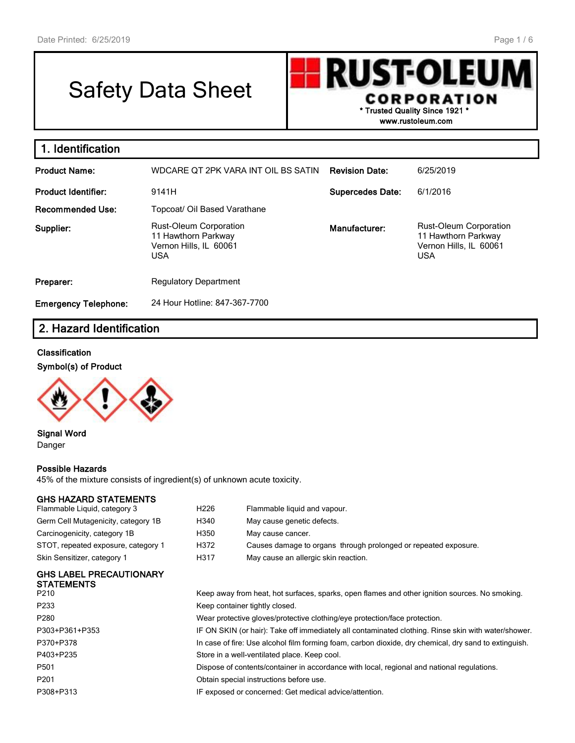# Safety Data Sheet

**RUST-OLEU** I **CORPORATION \* Trusted Quality Since 1921 \* www.rustoleum.com**

| 1. Identification           |                                                                                              |                         |                                                                                       |
|-----------------------------|----------------------------------------------------------------------------------------------|-------------------------|---------------------------------------------------------------------------------------|
| <b>Product Name:</b>        | WDCARE OT 2PK VARA INT OIL BS SATIN                                                          | <b>Revision Date:</b>   | 6/25/2019                                                                             |
| <b>Product Identifier:</b>  | 9141H                                                                                        | <b>Supercedes Date:</b> | 6/1/2016                                                                              |
| <b>Recommended Use:</b>     | Topcoat/ Oil Based Varathane                                                                 |                         |                                                                                       |
| Supplier:                   | <b>Rust-Oleum Corporation</b><br>11 Hawthorn Parkway<br>Vernon Hills, IL 60061<br><b>USA</b> | Manufacturer:           | Rust-Oleum Corporation<br>11 Hawthorn Parkway<br>Vernon Hills, IL 60061<br><b>USA</b> |
| Preparer:                   | <b>Regulatory Department</b>                                                                 |                         |                                                                                       |
| <b>Emergency Telephone:</b> | 24 Hour Hotline: 847-367-7700                                                                |                         |                                                                                       |

# **2. Hazard Identification**

#### **Classification**

**Symbol(s) of Product**



**Signal Word** Danger

#### **Possible Hazards**

45% of the mixture consists of ingredient(s) of unknown acute toxicity.

#### **GHS HAZARD STATEMENTS**

| Skin Sensitizer, category 1         | H317 | May cause an allergic skin reaction.                            |
|-------------------------------------|------|-----------------------------------------------------------------|
| STOT, repeated exposure, category 1 | H372 | Causes damage to organs through prolonged or repeated exposure. |
| Carcinogenicity, category 1B        | H350 | May cause cancer.                                               |
| Germ Cell Mutagenicity, category 1B | H340 | May cause genetic defects.                                      |
| Flammable Liquid, category 3        | H226 | Flammable liquid and vapour.                                    |

#### **GHS LABEL PRECAUTIONARY STATEMENTS**

| P210             | Keep away from heat, hot surfaces, sparks, open flames and other ignition sources. No smoking.        |
|------------------|-------------------------------------------------------------------------------------------------------|
| P233             | Keep container tightly closed.                                                                        |
| P280             | Wear protective gloves/protective clothing/eye protection/face protection.                            |
| P303+P361+P353   | IF ON SKIN (or hair): Take off immediately all contaminated clothing. Rinse skin with water/shower.   |
| P370+P378        | In case of fire: Use alcohol film forming foam, carbon dioxide, dry chemical, dry sand to extinguish. |
| P403+P235        | Store in a well-ventilated place. Keep cool.                                                          |
| P501             | Dispose of contents/container in accordance with local, regional and national regulations.            |
| P <sub>201</sub> | Obtain special instructions before use.                                                               |
| P308+P313        | IF exposed or concerned: Get medical advice/attention.                                                |
|                  |                                                                                                       |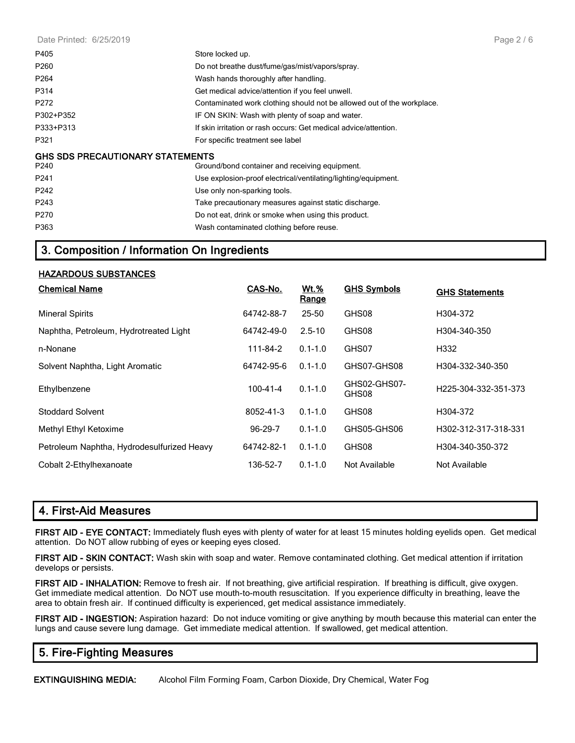Date Printed: 6/25/2019

| P405                                    | Store locked up.                                                       |
|-----------------------------------------|------------------------------------------------------------------------|
| P <sub>260</sub>                        | Do not breathe dust/fume/gas/mist/vapors/spray.                        |
| P <sub>264</sub>                        | Wash hands thoroughly after handling.                                  |
| P314                                    | Get medical advice/attention if you feel unwell.                       |
| P272                                    | Contaminated work clothing should not be allowed out of the workplace. |
| P302+P352                               | IF ON SKIN: Wash with plenty of soap and water.                        |
| P333+P313                               | If skin irritation or rash occurs: Get medical advice/attention.       |
| P321                                    | For specific treatment see label                                       |
| <b>GHS SDS PRECAUTIONARY STATEMENTS</b> |                                                                        |
| P240                                    | Ground/bond container and receiving equipment.                         |
| P <sub>241</sub>                        | Use explosion-proof electrical/ventilating/lighting/equipment.         |
| P242                                    | Use only non-sparking tools.                                           |
| P243                                    | Take precautionary measures against static discharge.                  |
| P270                                    | Do not eat, drink or smoke when using this product.                    |
| P363                                    | Wash contaminated clothing before reuse.                               |

## **3. Composition / Information On Ingredients**

#### **HAZARDOUS SUBSTANCES**

| <b>Chemical Name</b>                       | CAS-No.       | <u>Wt.%</u><br>Range | <b>GHS Symbols</b>    | <b>GHS Statements</b> |
|--------------------------------------------|---------------|----------------------|-----------------------|-----------------------|
| <b>Mineral Spirits</b>                     | 64742-88-7    | 25-50                | GHS08                 | H304-372              |
| Naphtha, Petroleum, Hydrotreated Light     | 64742-49-0    | $2.5 - 10$           | GHS08                 | H304-340-350          |
| n-Nonane                                   | 111-84-2      | $0.1 - 1.0$          | GHS07                 | H332                  |
| Solvent Naphtha, Light Aromatic            | 64742-95-6    | $0.1 - 1.0$          | GHS07-GHS08           | H304-332-340-350      |
| Ethylbenzene                               | 100-41-4      | $0.1 - 1.0$          | GHS02-GHS07-<br>GHS08 | H225-304-332-351-373  |
| <b>Stoddard Solvent</b>                    | 8052-41-3     | $0.1 - 1.0$          | GHS08                 | H304-372              |
| Methyl Ethyl Ketoxime                      | $96 - 29 - 7$ | $0.1 - 1.0$          | GHS05-GHS06           | H302-312-317-318-331  |
| Petroleum Naphtha, Hydrodesulfurized Heavy | 64742-82-1    | $0.1 - 1.0$          | GHS08                 | H304-340-350-372      |
| Cobalt 2-Ethylhexanoate                    | 136-52-7      | $0.1 - 1.0$          | Not Available         | Not Available         |

## **4. First-Aid Measures**

**FIRST AID - EYE CONTACT:** Immediately flush eyes with plenty of water for at least 15 minutes holding eyelids open. Get medical attention. Do NOT allow rubbing of eyes or keeping eyes closed.

**FIRST AID - SKIN CONTACT:** Wash skin with soap and water. Remove contaminated clothing. Get medical attention if irritation develops or persists.

**FIRST AID - INHALATION:** Remove to fresh air. If not breathing, give artificial respiration. If breathing is difficult, give oxygen. Get immediate medical attention. Do NOT use mouth-to-mouth resuscitation. If you experience difficulty in breathing, leave the area to obtain fresh air. If continued difficulty is experienced, get medical assistance immediately.

**FIRST AID - INGESTION:** Aspiration hazard: Do not induce vomiting or give anything by mouth because this material can enter the lungs and cause severe lung damage. Get immediate medical attention. If swallowed, get medical attention.

## **5. Fire-Fighting Measures**

**EXTINGUISHING MEDIA:** Alcohol Film Forming Foam, Carbon Dioxide, Dry Chemical, Water Fog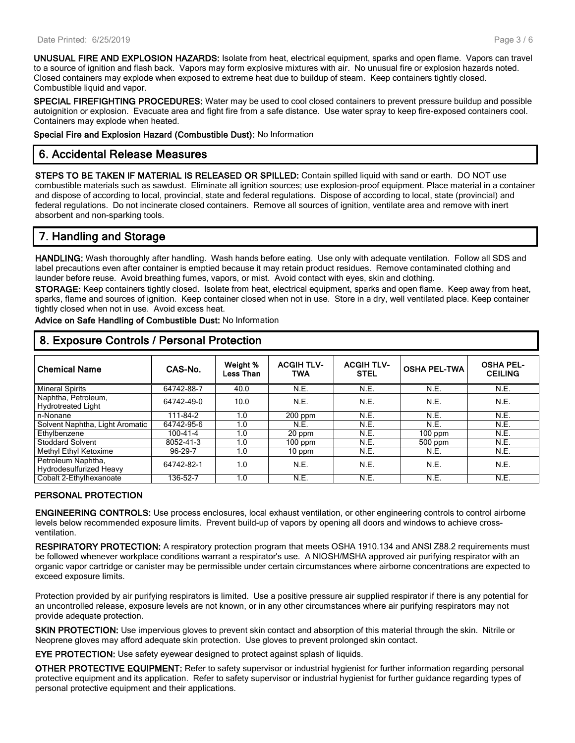**UNUSUAL FIRE AND EXPLOSION HAZARDS:** Isolate from heat, electrical equipment, sparks and open flame. Vapors can travel to a source of ignition and flash back. Vapors may form explosive mixtures with air. No unusual fire or explosion hazards noted. Closed containers may explode when exposed to extreme heat due to buildup of steam. Keep containers tightly closed. Combustible liquid and vapor.

**SPECIAL FIREFIGHTING PROCEDURES:** Water may be used to cool closed containers to prevent pressure buildup and possible autoignition or explosion. Evacuate area and fight fire from a safe distance. Use water spray to keep fire-exposed containers cool. Containers may explode when heated.

**Special Fire and Explosion Hazard (Combustible Dust):** No Information

## **6. Accidental Release Measures**

**STEPS TO BE TAKEN IF MATERIAL IS RELEASED OR SPILLED:** Contain spilled liquid with sand or earth. DO NOT use combustible materials such as sawdust. Eliminate all ignition sources; use explosion-proof equipment. Place material in a container and dispose of according to local, provincial, state and federal regulations. Dispose of according to local, state (provincial) and federal regulations. Do not incinerate closed containers. Remove all sources of ignition, ventilate area and remove with inert absorbent and non-sparking tools.

## **7. Handling and Storage**

**HANDLING:** Wash thoroughly after handling. Wash hands before eating. Use only with adequate ventilation. Follow all SDS and label precautions even after container is emptied because it may retain product residues. Remove contaminated clothing and launder before reuse. Avoid breathing fumes, vapors, or mist. Avoid contact with eyes, skin and clothing.

**STORAGE:** Keep containers tightly closed. Isolate from heat, electrical equipment, sparks and open flame. Keep away from heat, sparks, flame and sources of ignition. Keep container closed when not in use. Store in a dry, well ventilated place. Keep container tightly closed when not in use. Avoid excess heat.

**Advice on Safe Handling of Combustible Dust:** No Information

| <b>Chemical Name</b>                             | CAS-No.        | Weight %<br>Less Than | <b>ACGIH TLV-</b><br>TWA | <b>ACGIH TLV-</b><br><b>STEL</b> | <b>OSHA PEL-TWA</b> | <b>OSHA PEL-</b><br><b>CEILING</b> |
|--------------------------------------------------|----------------|-----------------------|--------------------------|----------------------------------|---------------------|------------------------------------|
| <b>Mineral Spirits</b>                           | 64742-88-7     | 40.0                  | N.E.                     | N.E.                             | N.E.                | N.E.                               |
| Naphtha, Petroleum,<br><b>Hydrotreated Light</b> | 64742-49-0     | 10.0                  | N.E.                     | N.E.                             | N.E.                | N.E.                               |
| n-Nonane                                         | 111-84-2       | 1.0                   | $200$ ppm                | N.E.                             | N.E.                | N.E.                               |
| Solvent Naphtha, Light Aromatic                  | 64742-95-6     | 1.0                   | N.E.                     | N.E.                             | N.E.                | N.E.                               |
| Ethylbenzene                                     | $100 - 41 - 4$ | 1.0                   | 20 ppm                   | N.E.                             | $100$ ppm           | N.E.                               |
| <b>Stoddard Solvent</b>                          | 8052-41-3      | 1.0                   | $100$ ppm                | N.E.                             | 500 ppm             | N.E.                               |
| Methyl Ethyl Ketoxime                            | 96-29-7        | 1.0                   | $10$ ppm                 | N.E.                             | N.E.                | N.E.                               |
| Petroleum Naphtha,<br>Hydrodesulfurized Heavy    | 64742-82-1     | 1.0                   | N.E.                     | <b>N.E.</b>                      | N.E.                | N.E.                               |
| Cobalt 2-Ethylhexanoate                          | 136-52-7       | 1.0                   | N.E.                     | N.E.                             | N.E.                | N.E.                               |

## **8. Exposure Controls / Personal Protection**

#### **PERSONAL PROTECTION**

**ENGINEERING CONTROLS:** Use process enclosures, local exhaust ventilation, or other engineering controls to control airborne levels below recommended exposure limits. Prevent build-up of vapors by opening all doors and windows to achieve crossventilation.

**RESPIRATORY PROTECTION:** A respiratory protection program that meets OSHA 1910.134 and ANSI Z88.2 requirements must be followed whenever workplace conditions warrant a respirator's use. A NIOSH/MSHA approved air purifying respirator with an organic vapor cartridge or canister may be permissible under certain circumstances where airborne concentrations are expected to exceed exposure limits.

Protection provided by air purifying respirators is limited. Use a positive pressure air supplied respirator if there is any potential for an uncontrolled release, exposure levels are not known, or in any other circumstances where air purifying respirators may not provide adequate protection.

**SKIN PROTECTION:** Use impervious gloves to prevent skin contact and absorption of this material through the skin. Nitrile or Neoprene gloves may afford adequate skin protection. Use gloves to prevent prolonged skin contact.

**EYE PROTECTION:** Use safety eyewear designed to protect against splash of liquids.

**OTHER PROTECTIVE EQUIPMENT:** Refer to safety supervisor or industrial hygienist for further information regarding personal protective equipment and its application. Refer to safety supervisor or industrial hygienist for further guidance regarding types of personal protective equipment and their applications.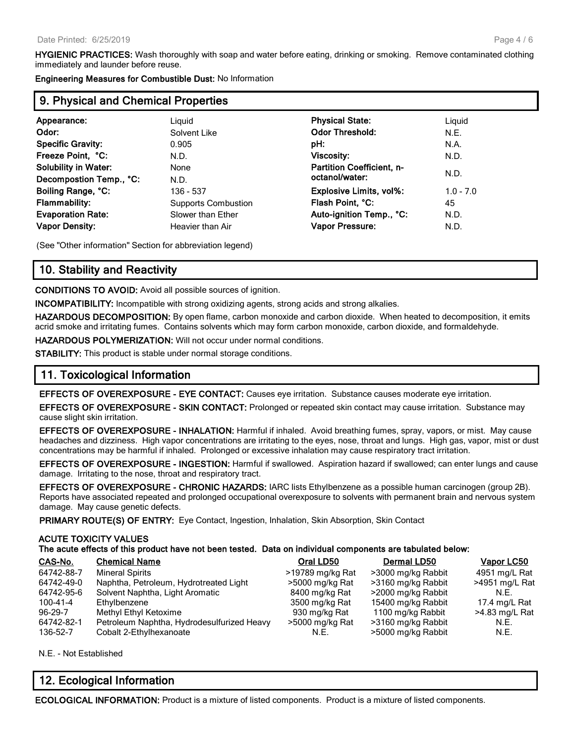**HYGIENIC PRACTICES:** Wash thoroughly with soap and water before eating, drinking or smoking. Remove contaminated clothing immediately and launder before reuse.

**Engineering Measures for Combustible Dust:** No Information

## **9. Physical and Chemical Properties**

| Appearance:                 | Liguid                     | <b>Physical State:</b>           | Liguid      |  |
|-----------------------------|----------------------------|----------------------------------|-------------|--|
| Odor:                       | Solvent Like               | <b>Odor Threshold:</b>           | N.E.        |  |
| <b>Specific Gravity:</b>    | 0.905                      | pH:                              | N.A.        |  |
| Freeze Point, °C:           | N.D.                       | <b>Viscosity:</b>                | N.D.        |  |
| <b>Solubility in Water:</b> | None                       | <b>Partition Coefficient, n-</b> |             |  |
| Decompostion Temp., °C:     | N.D.                       | octanol/water:                   | N.D.        |  |
| Boiling Range, °C:          | 136 - 537                  | <b>Explosive Limits, vol%:</b>   | $1.0 - 7.0$ |  |
| <b>Flammability:</b>        | <b>Supports Combustion</b> | Flash Point, °C:                 | 45          |  |
| <b>Evaporation Rate:</b>    | Slower than Ether          | Auto-ignition Temp., °C:         | N.D.        |  |
| <b>Vapor Density:</b>       | Heavier than Air           | <b>Vapor Pressure:</b>           | N.D.        |  |
|                             |                            |                                  |             |  |

(See "Other information" Section for abbreviation legend)

#### **10. Stability and Reactivity**

**CONDITIONS TO AVOID:** Avoid all possible sources of ignition.

**INCOMPATIBILITY:** Incompatible with strong oxidizing agents, strong acids and strong alkalies.

**HAZARDOUS DECOMPOSITION:** By open flame, carbon monoxide and carbon dioxide. When heated to decomposition, it emits acrid smoke and irritating fumes. Contains solvents which may form carbon monoxide, carbon dioxide, and formaldehyde.

**HAZARDOUS POLYMERIZATION:** Will not occur under normal conditions.

**STABILITY:** This product is stable under normal storage conditions.

#### **11. Toxicological Information**

**EFFECTS OF OVEREXPOSURE - EYE CONTACT:** Causes eye irritation. Substance causes moderate eye irritation.

**EFFECTS OF OVEREXPOSURE - SKIN CONTACT:** Prolonged or repeated skin contact may cause irritation. Substance may cause slight skin irritation.

**EFFECTS OF OVEREXPOSURE - INHALATION:** Harmful if inhaled. Avoid breathing fumes, spray, vapors, or mist. May cause headaches and dizziness. High vapor concentrations are irritating to the eyes, nose, throat and lungs. High gas, vapor, mist or dust concentrations may be harmful if inhaled. Prolonged or excessive inhalation may cause respiratory tract irritation.

**EFFECTS OF OVEREXPOSURE - INGESTION:** Harmful if swallowed. Aspiration hazard if swallowed; can enter lungs and cause damage. Irritating to the nose, throat and respiratory tract.

**EFFECTS OF OVEREXPOSURE - CHRONIC HAZARDS:** IARC lists Ethylbenzene as a possible human carcinogen (group 2B). Reports have associated repeated and prolonged occupational overexposure to solvents with permanent brain and nervous system damage. May cause genetic defects.

**PRIMARY ROUTE(S) OF ENTRY:** Eye Contact, Ingestion, Inhalation, Skin Absorption, Skin Contact

#### **ACUTE TOXICITY VALUES**

**The acute effects of this product have not been tested. Data on individual components are tabulated below:**

| CAS-No.       | <b>Chemical Name</b>                       | Oral LD50        | <b>Dermal LD50</b> | Vapor LC50     |
|---------------|--------------------------------------------|------------------|--------------------|----------------|
| 64742-88-7    | <b>Mineral Spirits</b>                     | >19789 mg/kg Rat | >3000 mg/kg Rabbit | 4951 mg/L Rat  |
| 64742-49-0    | Naphtha, Petroleum, Hydrotreated Light     | >5000 mg/kg Rat  | >3160 mg/kg Rabbit | >4951 mg/L Rat |
| 64742-95-6    | Solvent Naphtha, Light Aromatic            | 8400 mg/kg Rat   | >2000 mg/kg Rabbit | N.E.           |
| 100-41-4      | Ethylbenzene                               | 3500 mg/kg Rat   | 15400 mg/kg Rabbit | 17.4 mg/L Rat  |
| $96 - 29 - 7$ | Methyl Ethyl Ketoxime                      | 930 mg/kg Rat    | 1100 mg/kg Rabbit  | >4.83 mg/L Rat |
| 64742-82-1    | Petroleum Naphtha, Hydrodesulfurized Heavy | >5000 mg/kg Rat  | >3160 mg/kg Rabbit | N.E.           |
| 136-52-7      | Cobalt 2-Ethylhexanoate                    | N.F.             | >5000 mg/kg Rabbit | N.E.           |

N.E. - Not Established

## **12. Ecological Information**

**ECOLOGICAL INFORMATION:** Product is a mixture of listed components. Product is a mixture of listed components.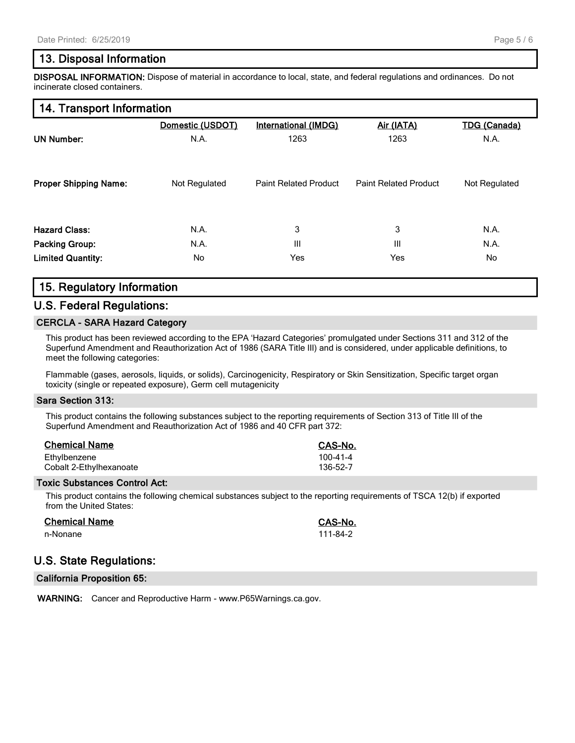## **13. Disposal Information**

**DISPOSAL INFORMATION:** Dispose of material in accordance to local, state, and federal regulations and ordinances. Do not incinerate closed containers.

## **14. Transport Information**

|                              | Domestic (USDOT) | <b>International (IMDG)</b>  | Air (IATA)                   | <b>TDG (Canada)</b> |  |
|------------------------------|------------------|------------------------------|------------------------------|---------------------|--|
| <b>UN Number:</b>            | N.A.             | 1263                         | 1263                         | N.A.                |  |
| <b>Proper Shipping Name:</b> | Not Regulated    | <b>Paint Related Product</b> | <b>Paint Related Product</b> | Not Regulated       |  |
| <b>Hazard Class:</b>         | N.A.             | 3                            | 3                            | N.A.                |  |
| <b>Packing Group:</b>        | N.A.             | Ш                            | Ш                            | N.A.                |  |
| <b>Limited Quantity:</b>     | No.              | Yes                          | Yes                          | No                  |  |

## **15. Regulatory Information**

#### **U.S. Federal Regulations:**

#### **CERCLA - SARA Hazard Category**

This product has been reviewed according to the EPA 'Hazard Categories' promulgated under Sections 311 and 312 of the Superfund Amendment and Reauthorization Act of 1986 (SARA Title III) and is considered, under applicable definitions, to meet the following categories:

Flammable (gases, aerosols, liquids, or solids), Carcinogenicity, Respiratory or Skin Sensitization, Specific target organ toxicity (single or repeated exposure), Germ cell mutagenicity

#### **Sara Section 313:**

This product contains the following substances subject to the reporting requirements of Section 313 of Title III of the Superfund Amendment and Reauthorization Act of 1986 and 40 CFR part 372:

| <b>Chemical Name</b>    | <b>CAS-No.</b> |
|-------------------------|----------------|
| Ethylbenzene            | 100-41-4       |
| Cobalt 2-Ethylhexanoate | 136-52-7       |

#### **Toxic Substances Control Act:**

This product contains the following chemical substances subject to the reporting requirements of TSCA 12(b) if exported from the United States:

| <b>Chemical Name</b> | CAS-No.  |
|----------------------|----------|
| n-Nonane             | 111-84-2 |

## **U.S. State Regulations:**

**California Proposition 65:**

**WARNING:** Cancer and Reproductive Harm - www.P65Warnings.ca.gov.